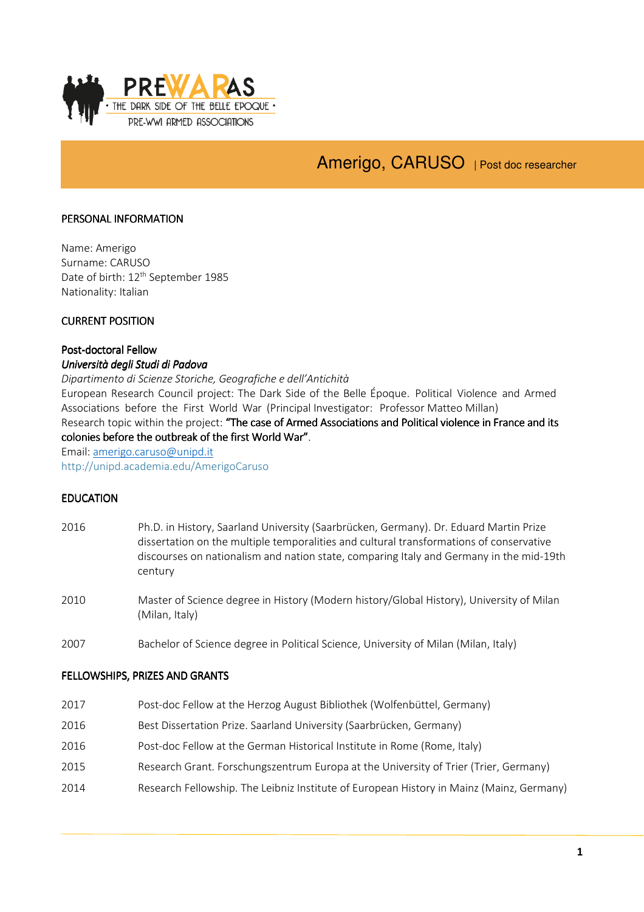

# Amerigo, CARUSO | Post doc researcher

#### PERSONAL INFORMATION

Name: Amerigo Surname: CARUSO Date of birth: 12<sup>th</sup> September 1985 Nationality: Italian

#### CURRENT POSITION

#### Post-doctoral Fellow Università degli Studi di Padova

Dipartimento di Scienze Storiche, Geografiche e dell'Antichità

European Research Council project: The Dark Side of the Belle Époque. Political Violence and Armed Associations before the First World War (Principal Investigator: Professor Matteo Millan) Research topic within the project: "The case of Armed Associations and Political violence in France and its colonies before the outbreak of the first World War".

Email: amerigo.caruso@unipd.it

http://unipd.academia.edu/AmerigoCaruso

#### **EDUCATION**

- 2016 Ph.D. in History, Saarland University (Saarbrücken, Germany). Dr. Eduard Martin Prize dissertation on the multiple temporalities and cultural transformations of conservative discourses on nationalism and nation state, comparing Italy and Germany in the mid-19th century
- 2010 Master of Science degree in History (Modern history/Global History), University of Milan (Milan, Italy)
- 2007 Bachelor of Science degree in Political Science, University of Milan (Milan, Italy)

#### FELLOWSHIPS, PRIZES AND GRANTS

- 2017 Post-doc Fellow at the Herzog August Bibliothek (Wolfenbüttel, Germany)
- 2016 Best Dissertation Prize. Saarland University (Saarbrücken, Germany)
- 2016 Post-doc Fellow at the German Historical Institute in Rome (Rome, Italy)
- 2015 Research Grant. Forschungszentrum Europa at the University of Trier (Trier, Germany)
- 2014 Research Fellowship. The Leibniz Institute of European History in Mainz (Mainz, Germany)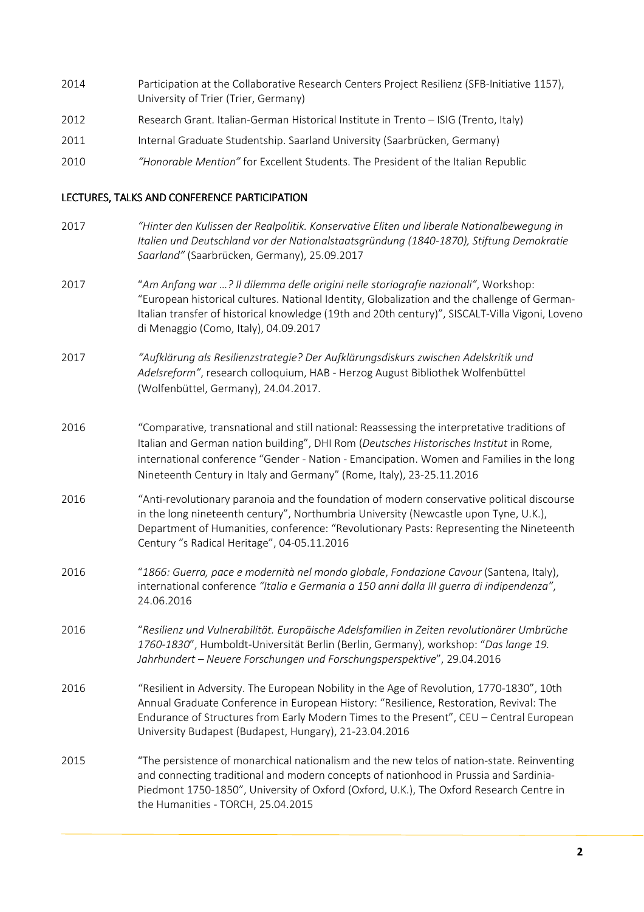- 2014 Participation at the Collaborative Research Centers Project Resilienz (SFB-Initiative 1157), University of Trier (Trier, Germany)
- 2012 Research Grant. Italian-German Historical Institute in Trento ISIG (Trento, Italy)
- 2011 Internal Graduate Studentship. Saarland University (Saarbrücken, Germany)
- 2010 "Honorable Mention" for Excellent Students. The President of the Italian Republic

#### LECTURES, TALKS AND CONFERENCE PARTICIPATION

2017 "Hinter den Kulissen der Realpolitik. Konservative Eliten und liberale Nationalbewegung in Italien und Deutschland vor der Nationalstaatsgründung (1840-1870), Stiftung Demokratie Saarland" (Saarbrücken, Germany), 25.09.2017 2017 "Am Anfang war …? Il dilemma delle origini nelle storiografie nazionali", Workshop: "European historical cultures. National Identity, Globalization and the challenge of German-Italian transfer of historical knowledge (19th and 20th century)", SISCALT-Villa Vigoni, Loveno di Menaggio (Como, Italy), 04.09.2017 2017 "Aufklärung als Resilienzstrategie? Der Aufklärungsdiskurs zwischen Adelskritik und Adelsreform", research colloquium, HAB - Herzog August Bibliothek Wolfenbüttel (Wolfenbüttel, Germany), 24.04.2017. 2016 "Comparative, transnational and still national: Reassessing the interpretative traditions of Italian and German nation building", DHI Rom (Deutsches Historisches Institut in Rome, international conference "Gender - Nation - Emancipation. Women and Families in the long Nineteenth Century in Italy and Germany" (Rome, Italy), 23-25.11.2016 2016 "Anti-revolutionary paranoia and the foundation of modern conservative political discourse in the long nineteenth century", Northumbria University (Newcastle upon Tyne, U.K.), Department of Humanities, conference: "Revolutionary Pasts: Representing the Nineteenth Century "s Radical Heritage", 04-05.11.2016 2016 "1866: Guerra, pace e modernità nel mondo globale, Fondazione Cavour (Santena, Italy), international conference "Italia e Germania a 150 anni dalla III guerra di indipendenza", 24.06.2016 2016 "Resilienz und Vulnerabilität. Europäische Adelsfamilien in Zeiten revolutionärer Umbrüche 1760-1830", Humboldt-Universität Berlin (Berlin, Germany), workshop: "Das lange 19. Jahrhundert – Neuere Forschungen und Forschungsperspektive", 29.04.2016 2016 "Resilient in Adversity. The European Nobility in the Age of Revolution, 1770-1830", 10th Annual Graduate Conference in European History: "Resilience, Restoration, Revival: The Endurance of Structures from Early Modern Times to the Present", CEU – Central European University Budapest (Budapest, Hungary), 21-23.04.2016 2015 "The persistence of monarchical nationalism and the new telos of nation-state. Reinventing and connecting traditional and modern concepts of nationhood in Prussia and Sardinia-Piedmont 1750-1850", University of Oxford (Oxford, U.K.), The Oxford Research Centre in the Humanities - TORCH, 25.04.2015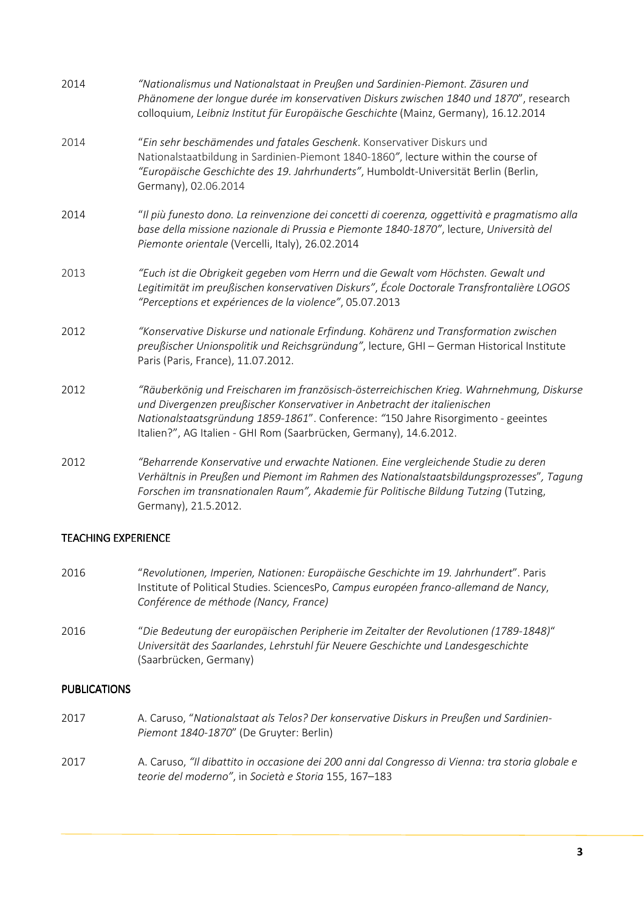| 2014 | "Nationalismus und Nationalstaat in Preußen und Sardinien-Piemont. Zäsuren und<br>Phänomene der longue durée im konservativen Diskurs zwischen 1840 und 1870", research<br>colloquium, Leibniz Institut für Europäische Geschichte (Mainz, Germany), 16.12.2014                                                                   |
|------|-----------------------------------------------------------------------------------------------------------------------------------------------------------------------------------------------------------------------------------------------------------------------------------------------------------------------------------|
| 2014 | "Ein sehr beschämendes und fatales Geschenk. Konservativer Diskurs und<br>Nationalstaatbildung in Sardinien-Piemont 1840-1860", lecture within the course of<br>"Europäische Geschichte des 19. Jahrhunderts", Humboldt-Universität Berlin (Berlin,<br>Germany), 02.06.2014                                                       |
| 2014 | "Il più funesto dono. La reinvenzione dei concetti di coerenza, oggettività e pragmatismo alla<br>base della missione nazionale di Prussia e Piemonte 1840-1870", lecture, Università del<br>Piemonte orientale (Vercelli, Italy), 26.02.2014                                                                                     |
| 2013 | "Euch ist die Obrigkeit gegeben vom Herrn und die Gewalt vom Höchsten. Gewalt und<br>Legitimität im preußischen konservativen Diskurs", École Doctorale Transfrontalière LOGOS<br>"Perceptions et expériences de la violence", 05.07.2013                                                                                         |
| 2012 | "Konservative Diskurse und nationale Erfindung. Kohärenz und Transformation zwischen<br>preußischer Unionspolitik und Reichsgründung", lecture, GHI - German Historical Institute<br>Paris (Paris, France), 11.07.2012.                                                                                                           |
| 2012 | "Räuberkönig und Freischaren im französisch-österreichischen Krieg. Wahrnehmung, Diskurse<br>und Divergenzen preußischer Konservativer in Anbetracht der italienischen<br>Nationalstaatsgründung 1859-1861". Conference: "150 Jahre Risorgimento - geeintes<br>Italien?", AG Italien - GHI Rom (Saarbrücken, Germany), 14.6.2012. |
| 2012 | "Beharrende Konservative und erwachte Nationen. Eine vergleichende Studie zu deren<br>Verhältnis in Preußen und Piemont im Rahmen des Nationalstaatsbildungsprozesses", Tagung<br>Forschen im transnationalen Raum", Akademie für Politische Bildung Tutzing (Tutzing,<br>Germany), 21.5.2012.                                    |

## **TEACHING EXPERIENCE**

- 2016 "Revolutionen, Imperien, Nationen: Europäische Geschichte im 19. Jahrhundert". Paris Institute of Political Studies. SciencesPo, Campus européen franco-allemand de Nancy, Conférence de méthode (Nancy, France)
- 2016 "Die Bedeutung der europäischen Peripherie im Zeitalter der Revolutionen (1789-1848)" Universität des Saarlandes, Lehrstuhl für Neuere Geschichte und Landesgeschichte (Saarbrücken, Germany)

### PUBLICATIONS

- 2017 A. Caruso, "Nationalstaat als Telos? Der konservative Diskurs in Preußen und Sardinien-Piemont 1840-1870" (De Gruyter: Berlin)
- 2017 A. Caruso, "Il dibattito in occasione dei 200 anni dal Congresso di Vienna: tra storia globale e teorie del moderno", in Società e Storia 155, 167–183